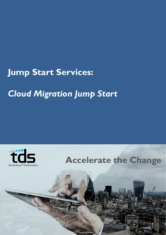# **Jump Start Services:**

# *Cloud Migration Jump Start*

**Representative** 



**Accelerate the Change**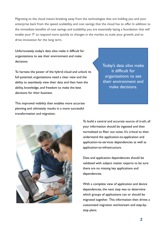Migrating to the cloud means breaking away from the technologies that are holding you and your enterprise back from the speed, scalability, and cost savings that the cloud has to offer. In addition to the immediate benefits of cost savings and scalability, you are essentially laying a foundation that will enable your IT to respond more quickly to changes in the market, to scale your growth, and to drive innovation for the long term.

Unfortunately, today's data silos make it difficult for organizations to see their environment and make decisions.

To harness the power of the hybrid cloud and unlock its full potential, organizations need a clear view and the ability to seamlessly view their data and then have the ability, knowledge, and freedom to make the best decisions for their business.

This improved visibility then enables more accurate planning and ultimately results in a more successful transformation and migration.

Today's data silos make it difficult for organizations to see their environment and make decisions.



To build a central and accurate source of truth, all your information should be ingested and then normalized to filter out noise. It's critical to then understand the application-to-application and application-to-services dependencies as well as application-to-infrastructure.

Data and application dependencies should be validated with subject matter experts to be sure there are no missing key applications and dependencies.

With a complete view of application and device dependencies, the next step was to determine which groups of applications can or should be migrated together. This information then drives a customized migration workstream and step-bystep plans.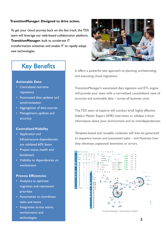#### **TransitionManager: Designed to drive action.**

To get your cloud journey back on the fast track, the TDS team will leverage our web-based collaboration platform, **TransitionManager**, built to accelerate IT transformation initiatives and enable IT to rapidly adopt new technologies.



## Key Benefits

### **Actionable Data**

- Centralized real-time repository
- Automated data updates and synchronization
- Aggregation of data sources
- Management, updates and accuracy

#### **Centralized Visibility**

- Application and Infrastructure dependencies are validated 60% faster
- Project status, health and bottleneck
- Visibility to dependencies on workstream

### **Process Efficiencies**

- Analytics to optimize migration and retirement priorities
- Automation to coordinate tasks and teams
- Integration across teams, workstreams and technologies

It offers a powerful new approach to planning, orchestrating, and executing cloud migrations.

TransitionManager's automated data ingestion and ETL engine will provide your team with a normalized, consolidated view of accurate and actionable data – across all business units.

The TDS team of experts will conduct brief, highly effective Subject Matter Expert (SME) interviews to validate critical information about your environment and its interdependencies.

Template-based and reusable runbooks will then be generated to sequence human and automated tasks – and illustrate how they eliminate unplanned downtime or errors.

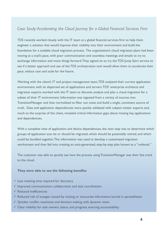## *Case Study: Accelerating the Cloud Journey for a Global Financial Services Firm*

TDS recently worked closely with the IT team at a global financial services firm to help them engineer a solution that would improve their visibility into their environment and build the foundation for a scalable cloud migration process. The organization's cloud migration plans had been moving at a snail's pace, with poor communication and countless meetings and emails to try to exchange information and move things forward. They signed on to try the TDS Jump Start service to see if a better approach and use of the TDS orchestration tool would allow them to accelerate their pace, reduce cost and scale for the future.

Working with the client's IT and project management team, TDS analyzed their current application environment, with its dispersed set of applications and servers. TDS' enterprise architects and migration experts worked with the IT team to discover, analyze and plan a cloud migration for a subset of their IT environment. Information was ingested from a variety of sources into TransitionManager and then normalized to filter out noise and build a single, consistent source of truth. Data and application dependencies were quickly validated with subject matter experts and, much to the surprise of the client, revealed critical information gaps about missing key applications and dependencies.

With a complete view of application and device dependencies, the next step was to determine which groups of application scan be or should be migrated, which should be potentially retired, and which could be bundled together. This information was used to develop a customized migration workstream and then fed into creating an auto-generated, step-by-step plan known as a "runbook."

The customer was able to quickly see how the process using TransitionManager was their fast track to the cloud.

### **They were able to see the following benefits:**

- $\checkmark$  Less meeting time required for discovery
- $\checkmark$  Improved communication, collaboration and task coordination
- $\checkmark$  Reduced Inefficiencies
- $\checkmark$  Reduced risk of outages caused by missing or inaccurate information buried in spreadsheets
- $\checkmark$  Quicker conflict resolution and decision making with dynamic views
- $\checkmark$  Clear visibility for task owners, status, and progress, ensuring accountability